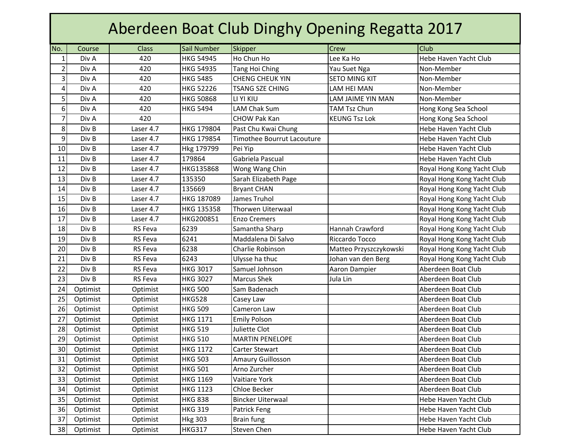| Aberdeen Boat Club Dinghy Opening Regatta 2017 |          |                |                  |                                   |                        |                            |  |  |  |
|------------------------------------------------|----------|----------------|------------------|-----------------------------------|------------------------|----------------------------|--|--|--|
| No.                                            | Course   | <b>Class</b>   | Sail Number      | Skipper                           | Crew                   | <b>Club</b>                |  |  |  |
| $\mathbf 1$                                    | Div A    | 420            | <b>HKG 54945</b> | Ho Chun Ho                        | Lee Ka Ho              | Hebe Haven Yacht Club      |  |  |  |
| $\overline{2}$                                 | Div A    | 420            | <b>HKG 54935</b> | <b>Tang Hoi Ching</b>             | Yau Suet Nga           | Non-Member                 |  |  |  |
| 3                                              | Div A    | 420            | <b>HKG 5485</b>  | <b>CHENG CHEUK YIN</b>            | <b>SETO MING KIT</b>   | Non-Member                 |  |  |  |
| 4                                              | Div A    | 420            | <b>HKG 52226</b> | <b>TSANG SZE CHING</b>            | <b>LAM HEI MAN</b>     | Non-Member                 |  |  |  |
| 5                                              | Div A    | 420            | <b>HKG 50868</b> | LI YI KIU                         | LAM JAIME YIN MAN      | Non-Member                 |  |  |  |
| 6                                              | Div A    | 420            | <b>HKG 5494</b>  | LAM Chak Sum                      | <b>TAM Tsz Chun</b>    | Hong Kong Sea School       |  |  |  |
| $\overline{7}$                                 | Div A    | 420            |                  | <b>CHOW Pak Kan</b>               | <b>KEUNG Tsz Lok</b>   | Hong Kong Sea School       |  |  |  |
| 8                                              | Div B    | Laser 4.7      | HKG 179804       | Past Chu Kwai Chung               |                        | Hebe Haven Yacht Club      |  |  |  |
| 9                                              | Div B    | Laser 4.7      | HKG 179854       | <b>Timothee Bourrut Lacouture</b> |                        | Hebe Haven Yacht Club      |  |  |  |
| 10                                             | Div B    | Laser 4.7      | Hkg 179799       | Pei Yip                           |                        | Hebe Haven Yacht Club      |  |  |  |
| 11                                             | Div B    | Laser 4.7      | 179864           | Gabriela Pascual                  |                        | Hebe Haven Yacht Club      |  |  |  |
| 12                                             | Div B    | Laser 4.7      | HKG135868        | Wong Wang Chin                    |                        | Royal Hong Kong Yacht Club |  |  |  |
| 13                                             | Div B    | Laser 4.7      | 135350           | Sarah Elizabeth Page              |                        | Royal Hong Kong Yacht Club |  |  |  |
| 14                                             | Div B    | Laser 4.7      | 135669           | <b>Bryant CHAN</b>                |                        | Royal Hong Kong Yacht Club |  |  |  |
| 15                                             | Div B    | Laser 4.7      | HKG 187089       | James Truhol                      |                        | Royal Hong Kong Yacht Club |  |  |  |
| 16                                             | Div B    | Laser 4.7      | HKG 135358       | <b>Thorwen Uiterwaal</b>          |                        | Royal Hong Kong Yacht Club |  |  |  |
| 17                                             | Div B    | Laser 4.7      | HKG200851        | <b>Enzo Cremers</b>               |                        | Royal Hong Kong Yacht Club |  |  |  |
| 18                                             | Div B    | <b>RS</b> Feva | 6239             | Samantha Sharp                    | Hannah Crawford        | Royal Hong Kong Yacht Club |  |  |  |
| 19                                             | Div B    | <b>RS</b> Feva | 6241             | Maddalena Di Salvo                | Riccardo Tocco         | Royal Hong Kong Yacht Club |  |  |  |
| 20                                             | Div B    | <b>RS Feva</b> | 6238             | Charlie Robinson                  | Matteo Przyszczykowski | Royal Hong Kong Yacht Club |  |  |  |
| 21                                             | Div B    | <b>RS</b> Feva | 6243             | Ulysse ha thuc                    | Johan van den Berg     | Royal Hong Kong Yacht Club |  |  |  |
| 22                                             | Div B    | <b>RS</b> Feva | <b>HKG 3017</b>  | Samuel Johnson                    | Aaron Dampier          | Aberdeen Boat Club         |  |  |  |
| 23                                             | Div B    | <b>RS</b> Feva | <b>HKG 3027</b>  | <b>Marcus Shek</b>                | Jula Lin               | Aberdeen Boat Club         |  |  |  |
| 24                                             | Optimist | Optimist       | <b>HKG 500</b>   | Sam Badenach                      |                        | Aberdeen Boat Club         |  |  |  |
| 25                                             | Optimist | Optimist       | <b>HKG528</b>    | Casey Law                         |                        | Aberdeen Boat Club         |  |  |  |
| 26                                             | Optimist | Optimist       | <b>HKG 509</b>   | Cameron Law                       |                        | Aberdeen Boat Club         |  |  |  |
| 27                                             | Optimist | Optimist       | <b>HKG 1171</b>  | <b>Emily Polson</b>               |                        | Aberdeen Boat Club         |  |  |  |
| 28                                             | Optimist | Optimist       | <b>HKG 519</b>   | Juliette Clot                     |                        | Aberdeen Boat Club         |  |  |  |
| 29                                             | Optimist | Optimist       | <b>HKG 510</b>   | <b>MARTIN PENELOPE</b>            |                        | Aberdeen Boat Club         |  |  |  |
| 30                                             | Optimist | Optimist       | <b>HKG 1172</b>  | Carter Stewart                    |                        | Aberdeen Boat Club         |  |  |  |
| 31                                             | Optimist | Optimist       | <b>HKG 503</b>   | Amaury Guillosson                 |                        | Aberdeen Boat Club         |  |  |  |
| 32                                             | Optimist | Optimist       | <b>HKG 501</b>   | Arno Zurcher                      |                        | Aberdeen Boat Club         |  |  |  |
| 33                                             | Optimist | Optimist       | <b>HKG 1169</b>  | Vaitiare York                     |                        | Aberdeen Boat Club         |  |  |  |
| 34                                             | Optimist | Optimist       | <b>HKG 1123</b>  | Chloe Becker                      |                        | Aberdeen Boat Club         |  |  |  |
| 35                                             | Optimist | Optimist       | <b>HKG 838</b>   | <b>Bincker Uiterwaal</b>          |                        | Hebe Haven Yacht Club      |  |  |  |
| 36                                             | Optimist | Optimist       | <b>HKG 319</b>   | Patrick Feng                      |                        | Hebe Haven Yacht Club      |  |  |  |
| 37                                             | Optimist | Optimist       | <b>Hkg 303</b>   | Brain fung                        |                        | Hebe Haven Yacht Club      |  |  |  |
| 38                                             | Optimist | Optimist       | <b>HKG317</b>    | Steven Chen                       |                        | Hebe Haven Yacht Club      |  |  |  |